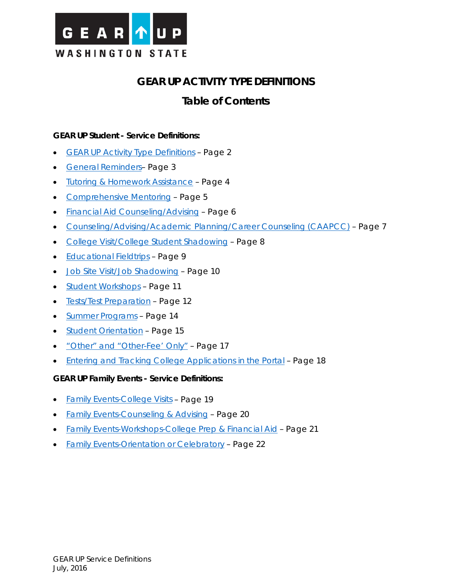<span id="page-0-0"></span>

# **GEAR UP ACTIVITY TYPE DEFINITIONS**

# **Table of Contents**

# **GEAR UP Student - Service Definitions:**

- [GEAR UP Activity Type Definitions](#page-1-0) Page 2
- [General Reminders–](#page-2-0) Page 3
- [Tutoring & Homework Assistance](#page-3-0) Page 4
- [Comprehensive Mentoring](#page-4-0) Page 5
- [Financial Aid Counseling/Advising](#page-5-0) Page 6
- [Counseling/Advising/Academic Planning/Career Counseling \(CAAPCC\)](#page-6-0) Page 7
- [College Visit/College Student Shadowing](#page-7-0) Page 8
- [Educational Fieldtrips](#page-8-0) Page 9
- [Job Site Visit/Job Shadowing](#page-9-0) Page 10
- [Student Workshops](#page-10-0) Page 11
- [Tests/Test Preparation](#page-11-0) Page 12
- [Summer Programs](#page-13-0) Page 14
- **[Student Orientation](#page-15-0)** Page 15
- ["Other" and "Other-Fee' Only"](#page-16-0) Page 17
- [Entering and Tracking College Applications in the Portal](#page-17-0) Page 18

## **GEAR UP Family Events - Service Definitions:**

- [Family Events-College Visits](#page-18-0) Page 19
- [Family Events-Counseling & Advising](#page-19-0) Page 20
- [Family Events-Workshops-College Prep & Financial Aid](#page-20-0) Page 21
- [Family Events-Orientation or Celebratory](#page-21-0) Page 22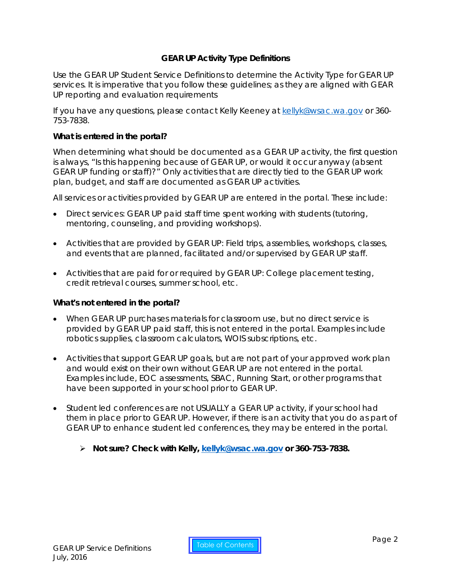# **GEAR UP Activity Type Definitions**

<span id="page-1-0"></span>Use the GEAR UP Student Service Definitions to determine the Activity Type for GEAR UP services. It is imperative that you follow these guidelines; as they are aligned with GEAR UP reporting and evaluation requirements

If you have any questions, please contact Kelly Keeney at [kellyk@wsac.wa.gov](mailto:kellyk@wsac.wa.gov) or 360-753-7838.

#### **What is entered in the portal?**

When determining what should be documented as a GEAR UP activity, the first question is always, "Is this happening because of GEAR UP, or would it occur anyway (absent GEAR UP funding or staff)?" Only activities that are directly tied to the GEAR UP work plan, budget, and staff are documented as GEAR UP activities.

All services or activities provided by GEAR UP are entered in the portal. These include:

- Direct services: GEAR UP paid staff time spent working with students (tutoring, mentoring, counseling, and providing workshops).
- Activities that are provided by GEAR UP: Field trips, assemblies, workshops, classes, and events that are planned, facilitated and/or supervised by GEAR UP staff.
- Activities that are paid for or required by GEAR UP: College placement testing, credit retrieval courses, summer school, etc.

## **What's not entered in the portal?**

- When GEAR UP purchases materials for classroom use, but no direct service is provided by GEAR UP paid staff, this is not entered in the portal. Examples include robotics supplies, classroom calculators, WOIS subscriptions, etc.
- Activities that support GEAR UP goals, but are not part of your approved work plan and would exist on their own without GEAR UP are not entered in the portal. Examples include, EOC assessments, SBAC, Running Start, or other programs that have been supported in your school prior to GEAR UP.
- Student led conferences are not USUALLY a GEAR UP activity, if your school had them in place prior to GEAR UP. However, if there is an activity that you do as part of GEAR UP to enhance student led conferences, they may be entered in the portal.
	- **Not sure? Check with Kelly, [kellyk@wsac.wa.gov](mailto:kellyk@wsac.wa.gov) or 360-753-7838.**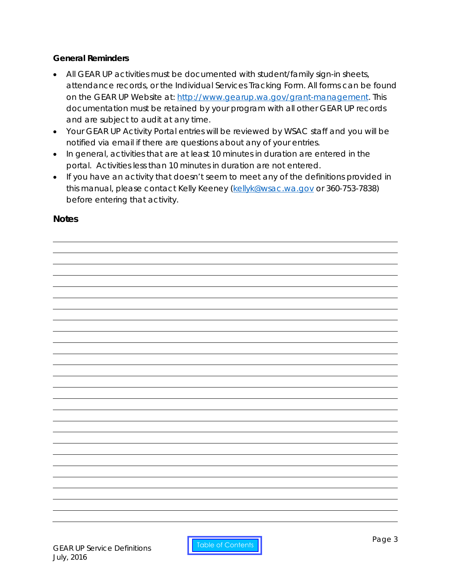# <span id="page-2-0"></span>**General Reminders**

- All GEAR UP activities must be documented with student/family sign-in sheets, attendance records, or the Individual Services Tracking Form. All forms can be found on the GEAR UP Website at: [http://www.gearup.wa.gov/grant-management.](http://www.gearup.wa.gov/grant-management) This documentation must be retained by your program with all other GEAR UP records and are subject to audit at any time.
- Your GEAR UP Activity Portal entries will be reviewed by WSAC staff and you will be notified via email if there are questions about any of your entries.
- In general, activities that are at least 10 minutes in duration are entered in the portal. Activities less than 10 minutes in duration are not entered.
- If you have an activity that doesn't seem to meet any of the definitions provided in this manual, please contact Kelly Keeney [\(kellyk@wsac.wa.gov](mailto:kellyk@wsac.wa.gov) or 360-753-7838) before entering that activity.

# **Notes**

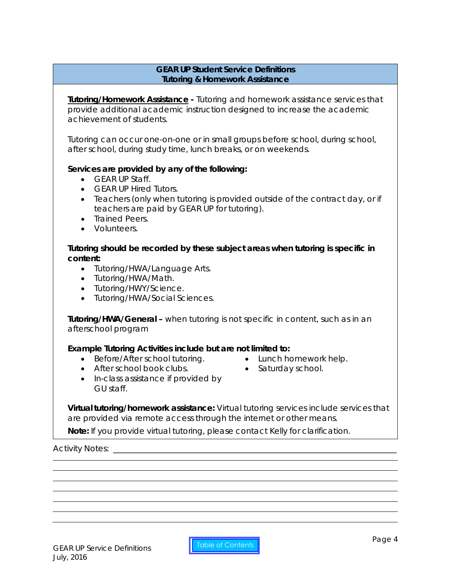## **GEAR UP Student Service Definitions Tutoring & Homework Assistance**

<span id="page-3-0"></span>**Tutoring/Homework Assistance -** Tutoring and homework assistance services that provide additional academic instruction designed to increase the academic achievement of students.

Tutoring can occur one-on-one or in small groups before school, during school, after school, during study time, lunch breaks, or on weekends.

# **Services are provided by any of the following:**

- GEAR UP Staff.
- GEAR UP Hired Tutors.
- Teachers (only when tutoring is provided outside of the contract day, or if teachers are paid by GEAR UP for tutoring).
- Trained Peers.
- Volunteers.

**Tutoring should be recorded by these subject areas when tutoring is specific in content:**

- Tutoring/HWA/Language Arts.
- Tutoring/HWA/Math.
- Tutoring/HWY/Science.
- Tutoring/HWA/Social Sciences.

**Tutoring/HWA/General –** when tutoring is not specific in content, such as in an afterschool program

## *Example Tutoring Activities include but are not limited to:*

- Before/After school tutoring. Lunch homework help.
- 
- After school book clubs. Saturday school.
	-
- In-class assistance if provided by GU staff.

**Virtual tutoring/homework assistance:** Virtual tutoring services include services that are provided via remote access through the internet or other means.

*Note: If you provide virtual tutoring, please contact Kelly for clarification.*

Activity Notes: \_\_\_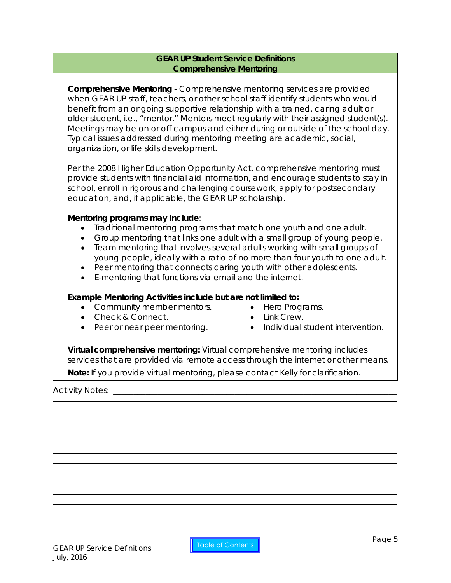## **GEAR UP Student Service Definitions Comprehensive Mentoring**

<span id="page-4-0"></span>**Comprehensive Mentoring** - Comprehensive mentoring services are provided when GEAR UP staff, teachers, or other school staff identify students who would benefit from an ongoing supportive relationship with a trained, caring adult or older student, i.e., "mentor." Mentors meet regularly with their assigned student(s). Meetings may be on or off campus and either during or outside of the school day. Typical issues addressed during mentoring meeting are academic, social, organization, or life skills development.

Per the 2008 Higher Education Opportunity Act, comprehensive mentoring must provide students with financial aid information, and encourage students to stay in school, enroll in rigorous and challenging coursework, apply for postsecondary education, and, if applicable, the GEAR UP scholarship.

## **Mentoring programs may include**:

- Traditional mentoring programs that match one youth and one adult.
- Group mentoring that links one adult with a small group of young people.
- Team mentoring that involves several adults working with small groups of young people, ideally with a ratio of no more than four youth to one adult.
- Peer mentoring that connects caring youth with other adolescents.
- E-mentoring that functions via email and the internet.

#### *Example Mentoring Activities include but are not limited to:*

- Community member mentors. Hero Programs.<br>• Check & Connect. Link Crew.
- Check & Connect. Link Crew.
- 
- 
- 
- Peer or near peer mentoring. Individual student intervention.

**Virtual comprehensive mentoring:** Virtual comprehensive mentoring includes services that are provided via remote access through the internet or other means. *Note: If you provide virtual mentoring, please contact Kelly for clarification.*

Activity Notes: **Example 20**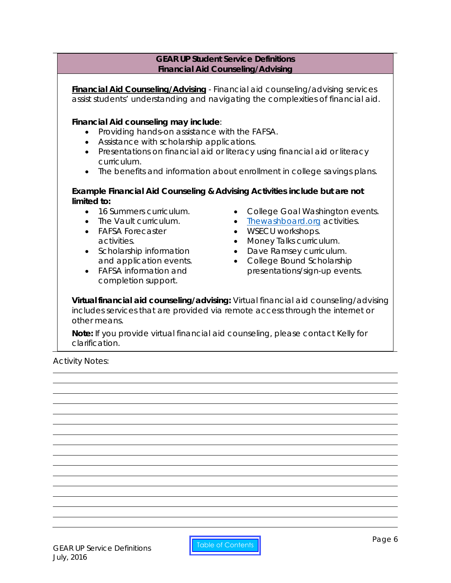#### **GEAR UP Student Service Definitions Financial Aid Counseling/Advising**

<span id="page-5-0"></span>**Financial Aid Counseling/Advising** - Financial aid counseling/advising services assist students' understanding and navigating the complexities of financial aid.

#### **Financial Aid counseling may include**:

- Providing hands-on assistance with the FAFSA.
- Assistance with scholarship applications.
- Presentations on financial aid or literacy using financial aid or literacy curriculum.
- The benefits and information about enrollment in college savings plans.

#### *Example Financial Aid Counseling & Advising Activities include but are not limited to:*

- 16 Summers curriculum.
- The Vault curriculum.
- FAFSA Forecaster activities.
- Scholarship information and application events.
- FAFSA information and completion support.
- College Goal Washington events.
- [Thewashboard.org](http://www.washboard.org/login.aspx) activities.
- WSECU workshops.
- Money Talks curriculum.
- Dave Ramsey curriculum.
- College Bound Scholarship presentations/sign-up events.

**Virtual financial aid counseling/advising:** Virtual financial aid counseling/advising includes services that are provided via remote access through the internet or other means.

*Note: If you provide virtual financial aid counseling, please contact Kelly for clarification.*

Activity Notes: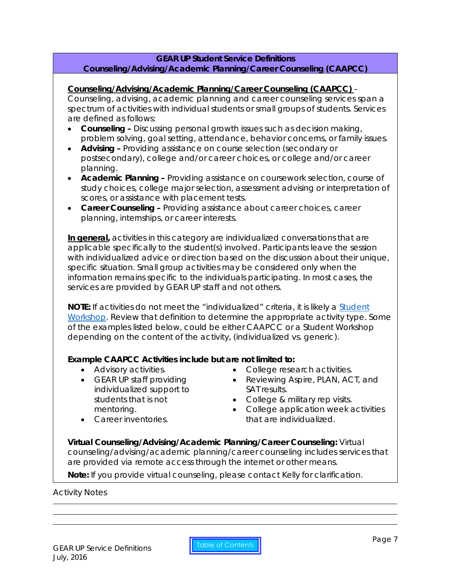## **GEAR UP Student Service Definitions Counseling/Advising/Academic Planning/Career Counseling (CAAPCC)**

#### <span id="page-6-0"></span>**Counseling/Advising/Academic Planning/Career Counseling (CAAPCC)** –

Counseling, advising, academic planning and career counseling services span a spectrum of activities with individual students or small groups of students. Services are defined as follows:

- **Counseling –** Discussing personal growth issues such as decision making, problem solving, goal setting, attendance, behavior concerns, or family issues.
- **Advising –** Providing assistance on course selection (secondary or postsecondary), college and/or career choices, or college and/or career planning.
- **Academic Planning –** Providing assistance on coursework selection, course of study choices, college major selection, assessment advising or interpretation of scores, or assistance with placement tests.
- **Career Counseling –** Providing assistance about career choices, career planning, internships, or career interests.

**In general,** activities in this category are individualized conversations that are applicable specifically to the student(s) involved. Participants leave the session with individualized advice or direction based on the discussion about their unique, specific situation. Small group activities may be considered only when the information remains specific to the individuals participating. In most cases, the services are provided by GEAR UP staff and not others.

**NOTE:** If activities do not meet the "individualized" criteria, it is likely a **Student** [Workshop.](#page-10-0) Review that definition to determine the appropriate activity type. Some of the examples listed below, could be either CAAPCC or a Student Workshop depending on the content of the activity, (individualized vs. generic).

## *Example CAAPCC Activities include but are not limited to:*

- Advisory activities.
- GEAR UP staff providing individualized support to students that is not mentoring.
- College research activities.
- Reviewing Aspire, PLAN, ACT, and SAT results.
	- College & military rep visits.
	- College application week activities that are individualized.

• Career inventories.

**Virtual Counseling/Advising/Academic Planning/Career Counseling:** Virtual counseling/advising/academic planning/career counseling includes services that are provided via remote access through the internet or other means.

*Note: If you provide virtual counseling, please contact Kelly for clarification.*

#### Activity Notes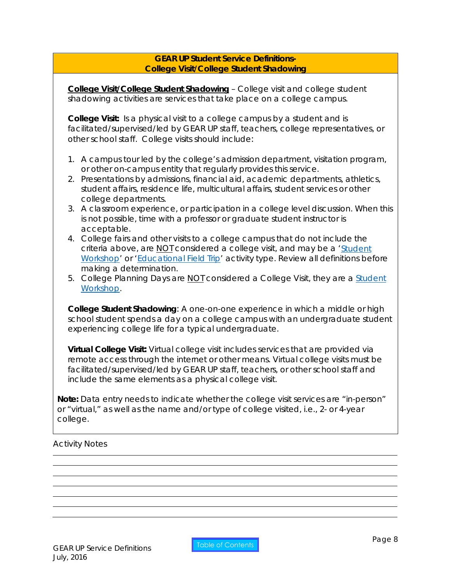## **GEAR UP Student Service Definitions-College Visit/College Student Shadowing**

<span id="page-7-0"></span>**College Visit/College Student Shadowing** – College visit and college student shadowing activities are services that take place on a college campus.

**College Visit:** Is a physical visit to a college campus by a student and is facilitated/supervised/led by GEAR UP staff, teachers, college representatives, or other school staff. College visits should include:

- 1. A campus tour led by the college's admission department, visitation program, or other on-campus entity that regularly provides this service.
- 2. Presentations by admissions, financial aid, academic departments, athletics, student affairs, residence life, multicultural affairs, student services or other college departments.
- 3. A classroom experience, or participation in a college level discussion. When this is not possible, time with a professor or graduate student instructor is acceptable.
- 4. College fairs and other visits to a college campus that do not include the criteria above, are NOT considered a college visit, and may be a ['Student](#page-10-0)  [Workshop'](#page-10-0) or ['Educational Field Trip'](#page-8-0) activity type. Review all definitions before making a determination.
- 5. College Planning Days are NOT considered a College Visit, they are a Student [Workshop.](#page-10-0)

**College Student Shadowing**: A one-on-one experience in which a middle or high school student spends a day on a college campus with an undergraduate student experiencing college life for a typical undergraduate.

**Virtual College Visit:** Virtual college visit includes services that are provided via remote access through the internet or other means. Virtual college visits must be facilitated/supervised/led by GEAR UP staff, teachers, or other school staff and include the same elements as a physical college visit.

*Note: Data entry needs to indicate whether the college visit services are "in-person" or "virtual," as well as the name and/or type of college visited, i.e., 2- or 4-year college.*

## Activity Notes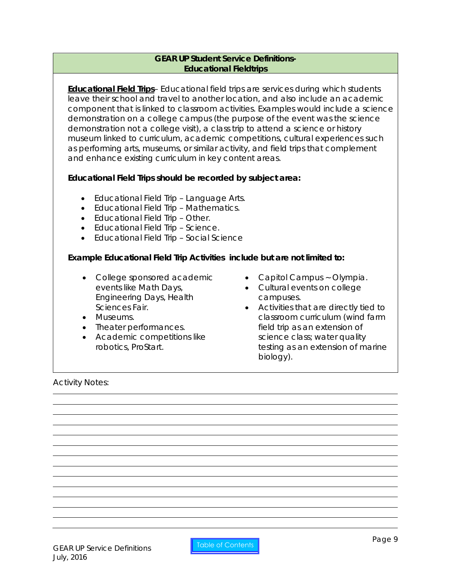## **GEAR UP Student Service Definitions-Educational Fieldtrips**

<span id="page-8-0"></span>**Educational Field Trips**– Educational field trips are services during which students leave their school and travel to another location, and also include an academic component that is linked to classroom activities. Examples would include a science demonstration on a college campus (the purpose of the event was the science demonstration not a college visit), a class trip to attend a science or history museum linked to curriculum, academic competitions, cultural experiences such as performing arts, museums, or similar activity, and field trips that complement and enhance existing curriculum in key content areas.

# **Educational Field Trips should be recorded by subject area:**

- Educational Field Trip Language Arts.
- Educational Field Trip Mathematics.
- Educational Field Trip Other.
- Educational Field Trip Science.
- Educational Field Trip Social Science

## **Example Educational Field Trip Activities** *include but are not limited to:*

- College sponsored academic events like Math Days, Engineering Days, Health Sciences Fair.
- Museums.
- Theater performances.
- Academic competitions like robotics, ProStart.
- Capitol Campus ~ Olympia.
- Cultural events on college campuses.
- Activities that are directly tied to classroom curriculum (wind farm field trip as an extension of science class; water quality testing as an extension of marine biology).

Activity Notes: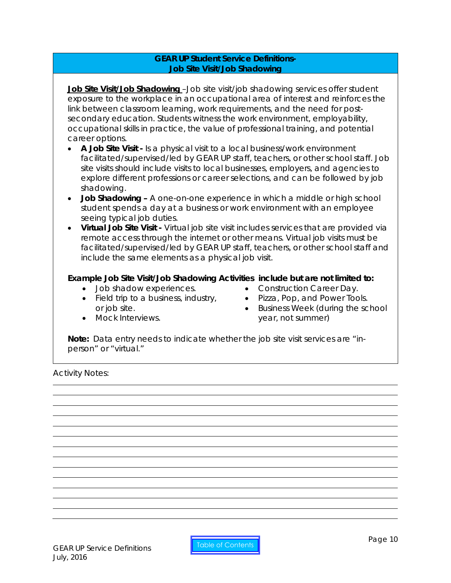## **GEAR UP Student Service Definitions-Job Site Visit/Job Shadowing**

<span id="page-9-0"></span>**Job Site Visit/Job Shadowing** –Job site visit/job shadowing services offer student exposure to the workplace in an occupational area of interest and reinforces the link between classroom learning, work requirements, and the need for postsecondary education. Students witness the work environment, employability, occupational skills in practice, the value of professional training, and potential career options.

- **A Job Site Visit -** Is a physical visit to a local business/work environment facilitated/supervised/led by GEAR UP staff, teachers, or other school staff. Job site visits should include visits to local businesses, employers, and agencies to explore different professions or career selections, and can be followed by job shadowing.
- **Job Shadowing –** A one-on-one experience in which a middle or high school student spends a day at a business or work environment with an employee seeing typical job duties.
- **Virtual Job Site Visit -** Virtual job site visit includes services that are provided via remote access through the internet or other means. Virtual job visits must be facilitated/supervised/led by GEAR UP staff, teachers, or other school staff and include the same elements as a physical job visit.

# **Example Job Site Visit/Job Shadowing Activities** *include but are not limited to:*

- Job shadow experiences.
- Field trip to a business, industry, or job site.
- Mock Interviews.
- Construction Career Day.
- Pizza, Pop, and Power Tools.
- Business Week (during the school year, not summer)

*Note: Data entry needs to indicate whether the job site visit services are "inperson" or "virtual."*

Activity Notes: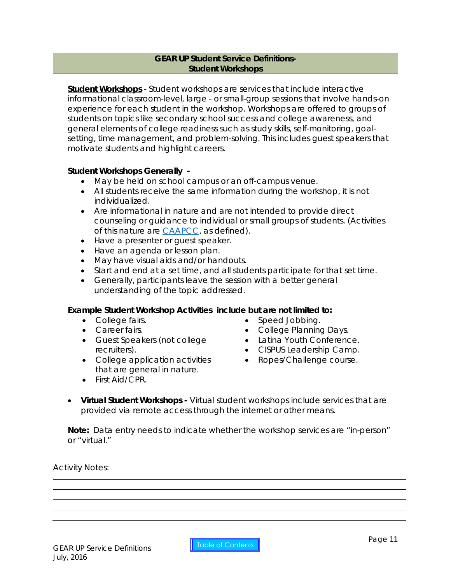## <span id="page-10-0"></span>**GEAR UP Student Service Definitions-Student Workshops**

**Student Workshops** - Student workshops are services that include interactive informational classroom-level, large - or small-group sessions that involve hands-on experience for each student in the workshop. Workshops are offered to groups of students on topics like secondary school success and college awareness, and general elements of college readiness such as study skills, self-monitoring, goalsetting, time management, and problem-solving. This includes guest speakers that motivate students and highlight careers.

## **Student Workshops Generally -**

- May be held on school campus or an off-campus venue.
- All students receive the same information during the workshop, it is not individualized.
- Are informational in nature and are not intended to provide direct counseling or guidance to individual or small groups of students. (Activities of this nature are [CAAPCC,](#page-6-0) as defined).
- Have a presenter or guest speaker.
- Have an agenda or lesson plan.
- May have visual aids and/or handouts.
- Start and end at a set time, and all students participate for that set time.
- Generally, participants leave the session with a better general understanding of the topic addressed.

#### **Example Student Workshop Activities** *include but are not limited to:*

- College fairs.
- Career fairs.
- Guest Speakers (not college recruiters).
- College application activities that are general in nature.
- Speed Jobbing. • College Planning Days.
- Latina Youth Conference.
- CISPUS Leadership Camp.
- Ropes/Challenge course.
- First Aid/CPR.
- **Virtual Student Workshops -** Virtual student workshops include services that are provided via remote access through the internet or other means.

*Note: Data entry needs to indicate whether the workshop services are "in-person" or "virtual."*

#### Activity Notes: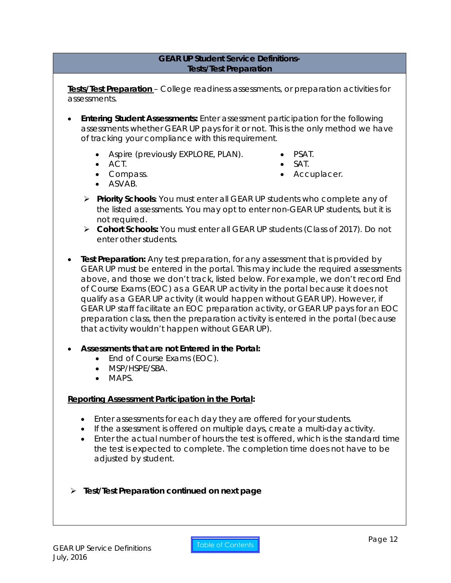## **GEAR UP Student Service Definitions-Tests/Test Preparation**

<span id="page-11-0"></span>**Tests/Test Preparation** – College readiness assessments, or preparation activities for assessments.

- **Entering Student Assessments:** Enter assessment participation for the following assessments *whether GEAR UP pays for it or not.* This is the only method we have of tracking your compliance with this requirement.
	- Aspire (previously EXPLORE, PLAN). PSAT.
		-
	- ACT. SAT.
	-
	- Compass. Accuplacer.
	- ASVAB.
	- **Priority Schools:** You must enter all GEAR UP students who complete any of the listed assessments. You may opt to enter non-GEAR UP students, but it is not required.
	- **Cohort Schools:** You must enter all GEAR UP students (Class of 2017). Do not enter other students.
- **Test Preparation:** Any test preparation, for any assessment that is provided by GEAR UP must be entered in the portal. This may include the required assessments above, and those we don't track, listed below. For example, we don't record End of Course Exams (EOC) as a GEAR UP activity in the portal because it does not qualify as a GEAR UP activity (it would happen without GEAR UP). However, if GEAR UP staff facilitate an EOC preparation activity, or GEAR UP pays for an EOC preparation class, then the preparation activity is entered in the portal (because that activity wouldn't happen without GEAR UP).
- **Assessments that are not Entered in the Portal:**
	- End *of Co*u*rse Exams (EOC).*
	- MSP/HSPE/SBA.
	- MAPS.

# **Reporting Assessment Participation in the Portal:**

- Enter assessments for each day they are offered for your students.
- If the assessment is offered on multiple days, create a multi-day activity.
- Enter the actual number of hours the test is offered, which is the standard time the test is expected to complete. The completion time does not have to be adjusted by student.
- **Test/Test Preparation continued on next page**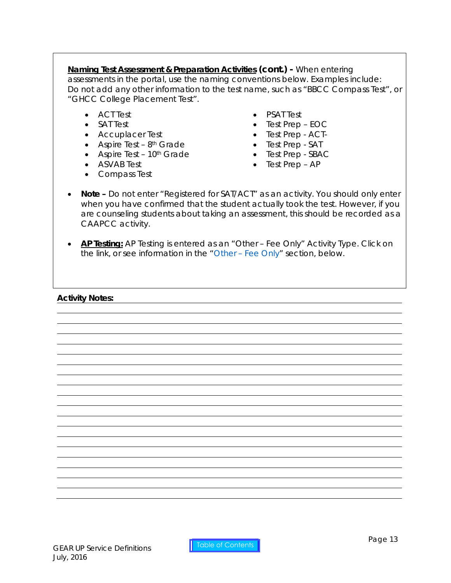**Naming Test Assessment & Preparation Activities (cont.) -** When entering assessments in the portal, use the naming conventions below. Examples include: Do not add any other information to the test name, such as *"BBCC Compass Test"*, or *"GHCC College Placement Test".*

- ACT Test
- SAT Test
- Accuplacer Test
- Aspire Test  $8<sup>th</sup>$  Grade
- Aspire Test 10<sup>th</sup> Grade
- ASVAB Test
- Compass Test
- PSAT Test
- Test Prep EOC
- Test Prep ACT-
- Test Prep SAT
- Test Prep SBAC
- Test Prep AP
- **Note –** Do not enter "Registered for SAT/ACT" as an activity. You should only enter when you have confirmed that the student actually took the test. However, if you are counseling students about taking an assessment, this should be recorded as a CAAPCC activity.
- **AP Testing:** AP Testing is entered as an "Other Fee Only" Activity Type. Click on the link, or see information in the "Other – [Fee Only"](#page-16-0) section, below.

## **Activity Notes:**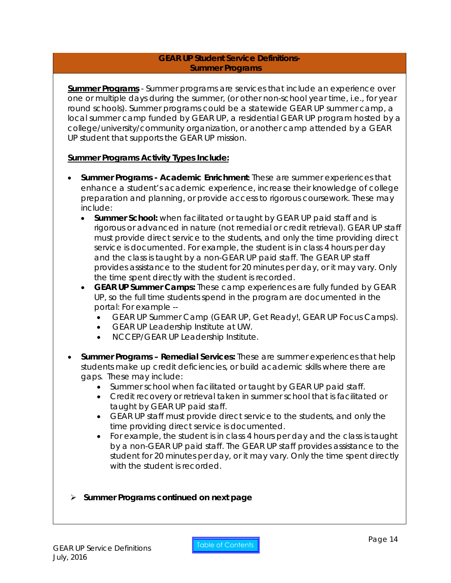#### <span id="page-13-0"></span>**GEAR UP Student Service Definitions-Summer Programs**

**Summer Programs** - Summer programs are services that include an experience over one or multiple days during the summer, (or other non-school year time, i.e., for year round schools). Summer programs could be a statewide GEAR UP summer camp, a local summer camp funded by GEAR UP, a residential GEAR UP program hosted by a college/university/community organization, or another camp attended by a GEAR UP student that supports the GEAR UP mission.

## **Summer Programs Activity Types Include:**

- **Summer Programs - Academic Enrichment:** These are summer experiences that enhance a student's academic experience, increase their knowledge of college preparation and planning, or provide access to rigorous coursework. These may include:
	- **Summer School:** when facilitated or taught by GEAR UP paid staff and is rigorous or advanced in nature (not remedial or credit retrieval). GEAR UP staff must provide direct service to the students, and only the time providing direct service is documented. For example, the student is in class 4 hours per day and the class is taught by a non-GEAR UP paid staff. The GEAR UP staff provides assistance to the student for 20 minutes per day, or it may vary. Only the time spent directly with the student is recorded.
	- **GEAR UP Summer Camps:** These camp experiences are fully funded by GEAR UP, so the full time students spend in the program are documented in the portal: For example --
		- GEAR UP Summer Camp (GEAR UP, Get Ready!, GEAR UP Focus Camps).
		- GEAR UP Leadership Institute at UW.
		- NCCEP/GEAR UP Leadership Institute.
- **Summer Programs – Remedial Services:** These are summer experiences that help students make up credit deficiencies, or build academic skills where there are gaps. These may include:
	- Summer school when facilitated or taught by GEAR UP paid staff.
	- Credit recovery or retrieval taken in summer school that is facilitated or taught by GEAR UP paid staff.
	- GEAR UP staff must provide direct service to the students, and only the time providing direct service is documented.
	- For example, the student is in class 4 hours per day and the class is taught by a non-GEAR UP paid staff. The GEAR UP staff provides assistance to the student for 20 minutes per day, or it may vary. Only the time spent directly with the student is recorded.

## **Summer Programs continued on next page**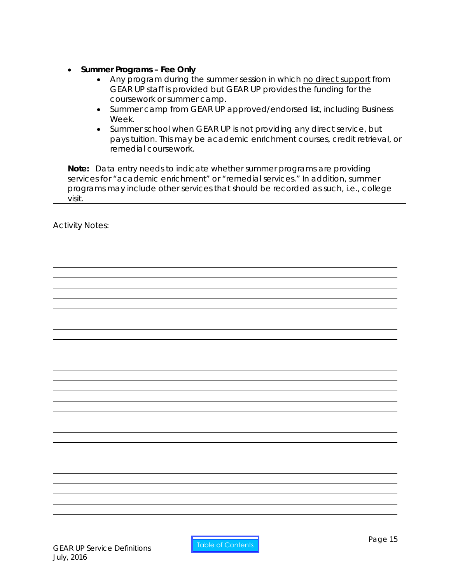# • **Summer Programs – Fee Only**

- Any program during the summer session in which no direct support from GEAR UP staff is provided but GEAR UP provides the funding for the coursework or summer camp.
- Summer camp from GEAR UP approved/endorsed list, including Business Week.
- Summer school when GEAR UP is not providing any direct service, but pays tuition. This may be academic enrichment courses, credit retrieval, or remedial coursework.

*Note: Data entry needs to indicate whether summer programs are providing services for "academic enrichment" or "remedial services." In addition, summer programs may include other services that should be recorded as such, i.e., college visit.*

Activity Notes: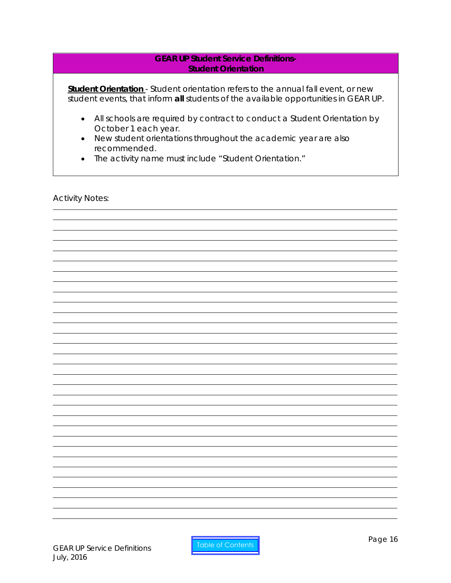#### <span id="page-15-0"></span>**GEAR UP Student Service Definitions-Student Orientation**

**Student Orientation** - Student orientation refers to the annual fall event, or new student events, that inform **all** students of the available opportunities in GEAR UP.

- All schools are required by contract to conduct a Student Orientation by October 1 each year.
- New student orientations throughout the academic year are also recommended.
- The activity name must include "Student Orientation."

Activity Notes:

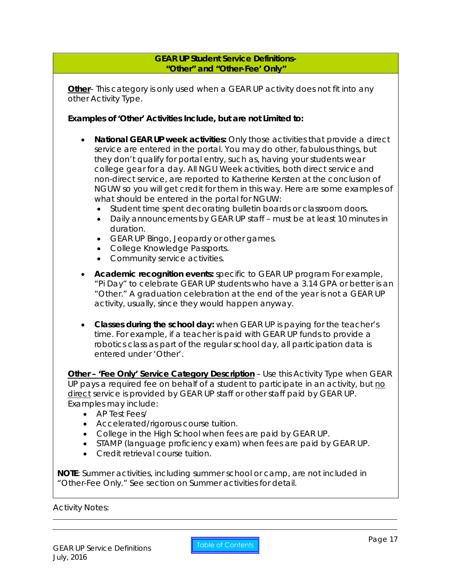#### <span id="page-16-0"></span>**GEAR UP Student Service Definitions- "Other" and "Other-Fee' Only"**

**Other**– This category is only used when a GEAR UP activity does not fit into any other Activity Type.

**Examples of 'Other' Activities Include, but are not Limited to:**

- **National GEAR UP week activities:** Only those activities that provide a direct service are entered in the portal. You may do other, fabulous things, but they don't qualify for portal entry, such as, having your students wear college gear for a day. All NGU Week activities, both direct service and non-direct service, are reported to Katherine Kersten at the conclusion of NGUW so you will get credit for them in this way. Here are some examples of what should be entered in the portal for NGUW:
	- Student time spent decorating bulletin boards or classroom doors.
	- Daily announcements by GEAR UP staff must be at least 10 minutes in duration.
	- GEAR UP Bingo, Jeopardy or other games.
	- College Knowledge Passports.
	- Community service activities.
- **Academic recognition events:** specific to GEAR UP program For example, "Pi Day" to celebrate GEAR UP students who have a 3.14 GPA or better is an "Other." A graduation celebration at the end of the year is not a GEAR UP activity, usually, since they would happen anyway.
- **Classes during the school day:** when GEAR UP is paying for the teacher's time. For example, if a teacher is paid with GEAR UP funds to provide a robotics class as part of the regular school day, all participation data is entered under 'Other'.

**Other – 'Fee Only' Service Category Description** – Use this Activity Type when GEAR UP pays a required fee on behalf of a student to participate in an activity, but no direct service is provided by GEAR UP staff or other staff paid by GEAR UP. Examples may include:

- AP Test Fees/
- Accelerated/rigorous course tuition.
- College in the High School when fees are paid by GEAR UP.
- STAMP (language proficiency exam) when fees are paid by GEAR UP.
- Credit retrieval course tuition.

**NOTE**: *Summer activities, including summer school or camp, are not included in "Other-Fee Only." See section on Summer activities for detail.*

Activity Notes: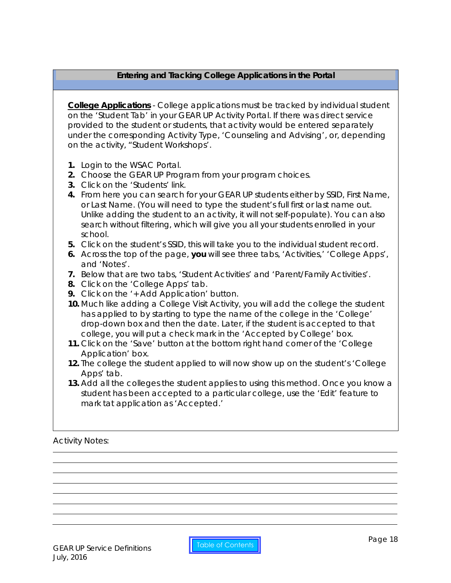# <span id="page-17-0"></span>**Entering and Tracking College Applications in the Portal**

**College Applications** - College applications must be tracked by individual student on the 'Student Tab' in your GEAR UP Activity Portal. If there was direct service provided to the student or students, that activity would be entered separately under the corresponding Activity Type, 'Counseling and Advising', or, depending on the activity, "Student Workshops'.

- **1.** Login to the WSAC Portal.
- **2.** Choose the GEAR UP Program from your program choices.
- **3.** Click on the '*Students'* link.
- **4.** From here you can search for your GEAR UP students either by SSID, First Name, or Last Name. (You will need to type the student's full first or last name out. Unlike adding the student to an activity, it will not self-populate). You can also search without filtering, which will give you all your students enrolled in your school.
- **5.** Click on the student's SSID, this will take you to the individual student record.
- **6.** Across the top of the page, **you** will see three tabs, *'Activities,' 'College Apps',* and *'Notes'*.
- **7.** Below that are two tabs, *'Student Activities'* and *'Parent/Family Activities'*.
- **8.** Click on the *'College Apps'* tab.
- **9.** Click on the *'+ Add Application'* button.
- **10.** Much like adding a College Visit Activity, you will add the college the student has applied to by starting to type the name of the college in the *'College'* drop-down box and then the date. Later, if the student is accepted to that college, you will put a check mark in the *'Accepted by College'* box.
- **11.** Click on the *'Save'* button at the bottom right hand corner of the *'College Application'* box.
- **12.** The college the student applied to will now show up on the student's *'College Apps'* tab.
- **13.** Add all the colleges the student applies to using this method. Once you know a student has been accepted to a particular college, use the 'Edit' feature to mark tat application as 'Accepted.'

Activity Notes: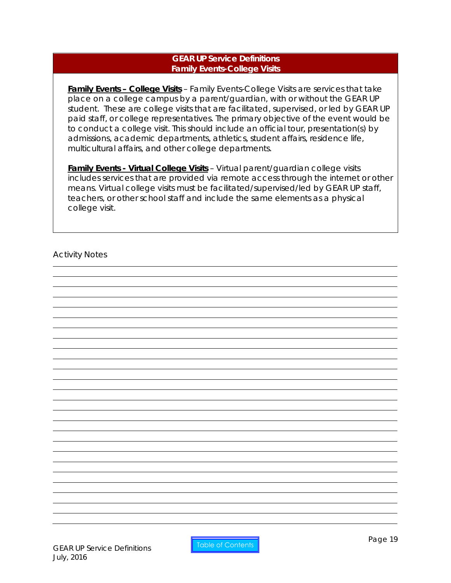#### **GEAR UP Service Definitions Family Events-College Visits**

<span id="page-18-0"></span>**Family Events – College Visits** – Family Events-College Visits are services that take place on a college campus by a parent/guardian, with or without the GEAR UP student. These are college visits that are facilitated, supervised, or led by GEAR UP paid staff, or college representatives. The primary objective of the event would be to conduct a college visit. This should include an official tour, presentation(s) by admissions, academic departments, athletics, student affairs, residence life, multicultural affairs, and other college departments.

**Family Events - Virtual College Visits** – Virtual parent/guardian college visits includes services that are provided via remote access through the internet or other means. Virtual college visits must be facilitated/supervised/led by GEAR UP staff, teachers, or other school staff and include the same elements as a physical college visit.

Activity Notes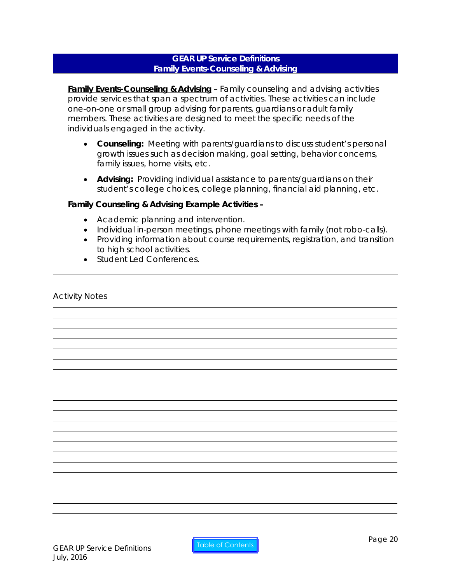## **GEAR UP Service Definitions Family Events-Counseling & Advising**

<span id="page-19-0"></span>**Family Events-Counseling & Advising** – Family counseling and advising activities provide services that span a spectrum of activities. These activities can include one-on-one or small group advising for parents, guardians or adult family members. These activities are designed to meet the specific needs of the individuals engaged in the activity.

- **Counseling:** Meeting with parents/guardians to discuss student's personal growth issues such as decision making, goal setting, behavior concerns, family issues, home visits, etc.
- **Advising:** Providing individual assistance to parents/guardians on their student's college choices, college planning, financial aid planning, etc.

## **Family Counseling & Advising Example Activities –**

- Academic planning and intervention.
- Individual in-person meetings, phone meetings with family (not robo-calls).
- Providing information about course requirements, registration, and transition to high school activities.
- Student Led Conferences.

## Activity Notes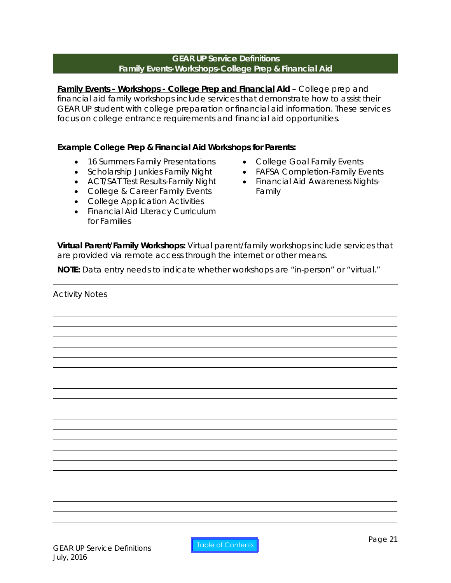#### **GEAR UP Service Definitions Family Events-Workshops-College Prep & Financial Aid**

<span id="page-20-0"></span>**Family Events - Workshops - College Prep and Financial Aid** – College prep and financial aid family workshops include services that demonstrate how to assist their GEAR UP student with college preparation or financial aid information. These services focus on college entrance requirements and financial aid opportunities.

# **Example College Prep & Financial Aid Workshops for Parents:**

- 16 Summers Family Presentations
- Scholarship Junkies Family Night
- ACT/SAT Test Results-Family Night
- College & Career Family Events
- College Application Activities
- Financial Aid Literacy Curriculum for Families
- College Goal Family Events
- FAFSA Completion-Family Events
- Financial Aid Awareness Nights-Family

**Virtual Parent/Family Workshops:** Virtual parent/family workshops include services that are provided via remote access through the internet or other means.

*NOTE: Data entry needs to indicate whether workshops are "in-person" or "virtual."*

Activity Notes